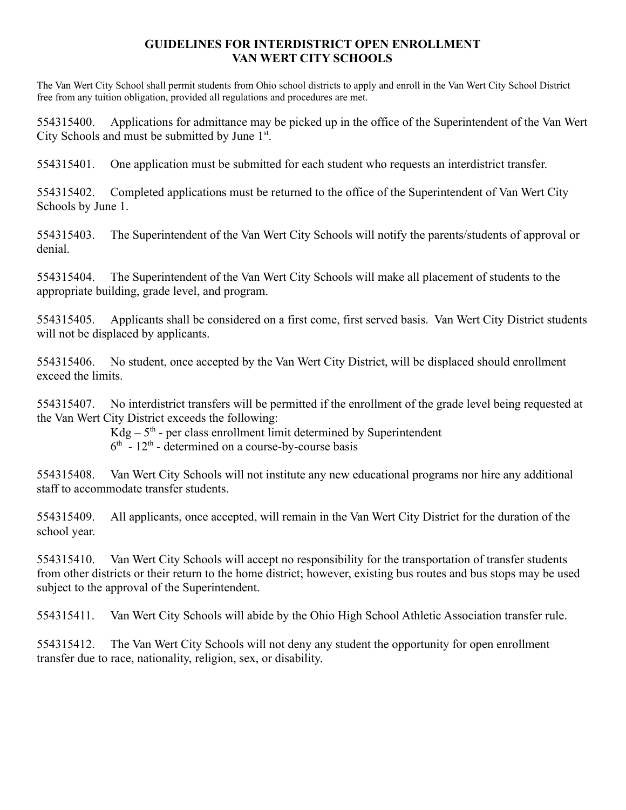## **GUIDELINES FOR INTERDISTRICT OPEN ENROLLMENT VAN WERT CITY SCHOOLS**

 The Van Wert City School shall permit students from Ohio school districts to apply and enroll in the Van Wert City School District free from any tuition obligation, provided all regulations and procedures are met.

554315400. Applications for admittance may be picked up in the office of the Superintendent of the Van Wert City Schools and must be submitted by June 1st.

554315401. One application must be submitted for each student who requests an interdistrict transfer.

554315402. Completed applications must be returned to the office of the Superintendent of Van Wert City Schools by June 1.

554315403. The Superintendent of the Van Wert City Schools will notify the parents/students of approval or denial.

554315404. The Superintendent of the Van Wert City Schools will make all placement of students to the appropriate building, grade level, and program.

554315405. Applicants shall be considered on a first come, first served basis. Van Wert City District students will not be displaced by applicants.

554315406. No student, once accepted by the Van Wert City District, will be displaced should enrollment exceed the limits.

554315407. No interdistrict transfers will be permitted if the enrollment of the grade level being requested at the Van Wert City District exceeds the following:

 $Kdg - 5<sup>th</sup>$  - per class enrollment limit determined by Superintendent

 $6<sup>th</sup>$  - 12<sup>th</sup> - determined on a course-by-course basis

554315408. Van Wert City Schools will not institute any new educational programs nor hire any additional staff to accommodate transfer students.

554315409. All applicants, once accepted, will remain in the Van Wert City District for the duration of the school year.

554315410. Van Wert City Schools will accept no responsibility for the transportation of transfer students from other districts or their return to the home district; however, existing bus routes and bus stops may be used subject to the approval of the Superintendent.

554315411. Van Wert City Schools will abide by the Ohio High School Athletic Association transfer rule.

554315412. The Van Wert City Schools will not deny any student the opportunity for open enrollment transfer due to race, nationality, religion, sex, or disability.